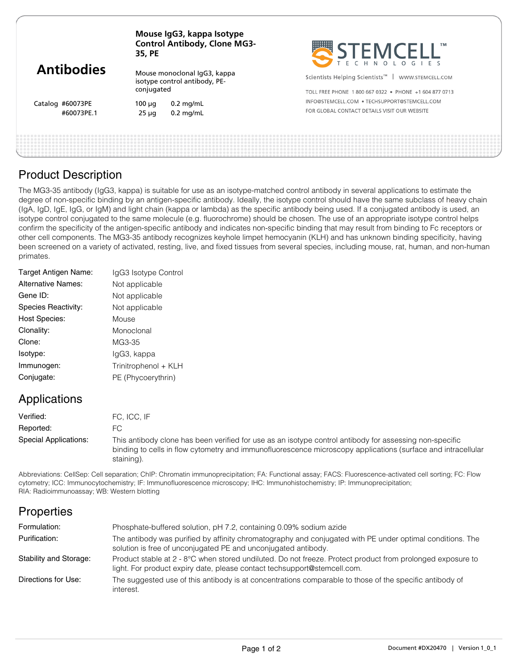| <b>Antibodies</b> | Mouse IgG3, kappa Isotype<br><b>Control Antibody, Clone MG3-</b><br>35, PE  |                                              | STEMCELL'                                                        |  |
|-------------------|-----------------------------------------------------------------------------|----------------------------------------------|------------------------------------------------------------------|--|
|                   | Mouse monoclonal IgG3, kappa<br>isotype control antibody, PE-<br>conjugated |                                              | Scientists Helping Scientists <sup>™</sup>  <br>WWW.STEMCELL.COM |  |
|                   |                                                                             |                                              | TOLL FREE PHONE 1800 667 0322 . PHONE +1 604 877 0713            |  |
| Catalog #60073PE  | $100 \mu q$                                                                 | $0.2$ mg/mL                                  | INFO@STEMCELL.COM • TECHSUPPORT@STEMCELL.COM                     |  |
| #60073PE.1        | $0.2$ mg/mL<br>$25 \mu q$                                                   | FOR GLOBAL CONTACT DETAILS VISIT OUR WEBSITE |                                                                  |  |
|                   |                                                                             |                                              |                                                                  |  |
|                   |                                                                             |                                              |                                                                  |  |

### Product Description

The MG3-35 antibody (IgG3, kappa) is suitable for use as an isotype-matched control antibody in several applications to estimate the degree of non-specific binding by an antigen-specific antibody. Ideally, the isotype control should have the same subclass of heavy chain (IgA, IgD, IgE, IgG, or IgM) and light chain (kappa or lambda) as the specific antibody being used. If a conjugated antibody is used, an isotype control conjugated to the same molecule (e.g. fluorochrome) should be chosen. The use of an appropriate isotype control helps confirm the specificity of the antigen-specific antibody and indicates non-specific binding that may result from binding to Fc receptors or other cell components. The MG3-35 antibody recognizes keyhole limpet hemocyanin (KLH) and has unknown binding specificity, having been screened on a variety of activated, resting, live, and fixed tissues from several species, including mouse, rat, human, and non-human primates.

| Target Antigen Name: | IgG3 Isotype Control |
|----------------------|----------------------|
| Alternative Names:   | Not applicable       |
| Gene ID:             | Not applicable       |
| Species Reactivity:  | Not applicable       |
| <b>Host Species:</b> | Mouse                |
| Clonality:           | Monoclonal           |
| Clone:               | MG3-35               |
| Isotype:             | lgG3, kappa          |
| Immunogen:           | Trinitrophenol + KLH |
| Conjugate:           | PE (Phycoerythrin)   |
|                      |                      |

## Applications

Verified: FC, ICC, IF Reported: FC This antibody clone has been verified for use as an isotype control antibody for assessing non-specific binding to cells in flow cytometry and immunofluorescence microscopy applications (surface and intracellular staining). Special Applications:

Abbreviations: CellSep: Cell separation; ChIP: Chromatin immunoprecipitation; FA: Functional assay; FACS: Fluorescence-activated cell sorting; FC: Flow cytometry; ICC: Immunocytochemistry; IF: Immunofluorescence microscopy; IHC: Immunohistochemistry; IP: Immunoprecipitation; RIA: Radioimmunoassay; WB: Western blotting

# **Properties**

| Formulation:           | Phosphate-buffered solution, pH 7.2, containing 0.09% sodium azide                                                                                                                     |
|------------------------|----------------------------------------------------------------------------------------------------------------------------------------------------------------------------------------|
| Purification:          | The antibody was purified by affinity chromatography and conjugated with PE under optimal conditions. The<br>solution is free of unconjugated PE and unconjugated antibody.            |
| Stability and Storage: | Product stable at 2 - 8°C when stored undiluted. Do not freeze. Protect product from prolonged exposure to<br>light. For product expiry date, please contact techsupport@stemcell.com. |
| Directions for Use:    | The suggested use of this antibody is at concentrations comparable to those of the specific antibody of<br>interest.                                                                   |